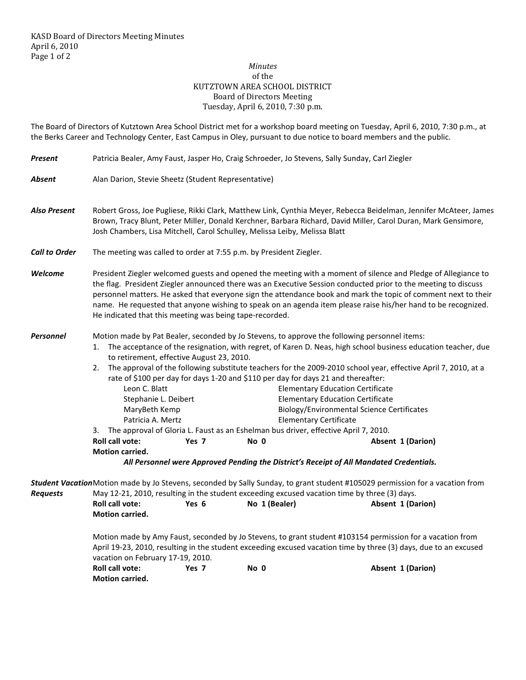## *Minutes*  of the KUTZTOWN AREA SCHOOL DISTRICT Board of Directors Meeting Tuesday, April 6, 2010, 7:30 p.m.

The Board of Directors of Kutztown Area School District met for a workshop board meeting on Tuesday, April 6, 2010, 7:30 p.m., at the Berks Career and Technology Center, East Campus in Oley, pursuant to due notice to board members and the public.

| <b>Present</b>       | Patricia Bealer, Amy Faust, Jasper Ho, Craig Schroeder, Jo Stevens, Sally Sunday, Carl Ziegler                                                                                                                                                                                                                                                                                                                                                                                                                                |       |                                                                                                                                                                                                                                                                                                                                                                                                                                                                                                                                                         |                                                                                                                                                                                                                                                      |  |  |
|----------------------|-------------------------------------------------------------------------------------------------------------------------------------------------------------------------------------------------------------------------------------------------------------------------------------------------------------------------------------------------------------------------------------------------------------------------------------------------------------------------------------------------------------------------------|-------|---------------------------------------------------------------------------------------------------------------------------------------------------------------------------------------------------------------------------------------------------------------------------------------------------------------------------------------------------------------------------------------------------------------------------------------------------------------------------------------------------------------------------------------------------------|------------------------------------------------------------------------------------------------------------------------------------------------------------------------------------------------------------------------------------------------------|--|--|
| Absent               | Alan Darion, Stevie Sheetz (Student Representative)                                                                                                                                                                                                                                                                                                                                                                                                                                                                           |       |                                                                                                                                                                                                                                                                                                                                                                                                                                                                                                                                                         |                                                                                                                                                                                                                                                      |  |  |
| <b>Also Present</b>  | Robert Gross, Joe Pugliese, Rikki Clark, Matthew Link, Cynthia Meyer, Rebecca Beidelman, Jennifer McAteer, James<br>Brown, Tracy Blunt, Peter Miller, Donald Kerchner, Barbara Richard, David Miller, Carol Duran, Mark Gensimore,<br>Josh Chambers, Lisa Mitchell, Carol Schulley, Melissa Leiby, Melissa Blatt                                                                                                                                                                                                              |       |                                                                                                                                                                                                                                                                                                                                                                                                                                                                                                                                                         |                                                                                                                                                                                                                                                      |  |  |
| <b>Call to Order</b> | The meeting was called to order at 7:55 p.m. by President Ziegler.                                                                                                                                                                                                                                                                                                                                                                                                                                                            |       |                                                                                                                                                                                                                                                                                                                                                                                                                                                                                                                                                         |                                                                                                                                                                                                                                                      |  |  |
| Welcome              | President Ziegler welcomed guests and opened the meeting with a moment of silence and Pledge of Allegiance to<br>the flag. President Ziegler announced there was an Executive Session conducted prior to the meeting to discuss<br>personnel matters. He asked that everyone sign the attendance book and mark the topic of comment next to their<br>name. He requested that anyone wishing to speak on an agenda item please raise his/her hand to be recognized.<br>He indicated that this meeting was being tape-recorded. |       |                                                                                                                                                                                                                                                                                                                                                                                                                                                                                                                                                         |                                                                                                                                                                                                                                                      |  |  |
| <b>Personnel</b>     | 1.<br>to retirement, effective August 23, 2010.<br>2.<br>Leon C. Blatt<br>Stephanie L. Deibert<br>MaryBeth Kemp<br>Patricia A. Mertz<br>3.<br><b>Roll call vote:</b><br><b>Motion carried.</b>                                                                                                                                                                                                                                                                                                                                | Yes 7 | Motion made by Pat Bealer, seconded by Jo Stevens, to approve the following personnel items:<br>rate of \$100 per day for days 1-20 and \$110 per day for days 21 and thereafter:<br><b>Elementary Education Certificate</b><br><b>Elementary Education Certificate</b><br><b>Biology/Environmental Science Certificates</b><br><b>Elementary Certificate</b><br>The approval of Gloria L. Faust as an Eshelman bus driver, effective April 7, 2010.<br>No 0<br>All Personnel were Approved Pending the District's Receipt of All Mandated Credentials. | The acceptance of the resignation, with regret, of Karen D. Neas, high school business education teacher, due<br>The approval of the following substitute teachers for the 2009-2010 school year, effective April 7, 2010, at a<br>Absent 1 (Darion) |  |  |
| <b>Requests</b>      | <b>Roll call vote:</b><br><b>Motion carried.</b>                                                                                                                                                                                                                                                                                                                                                                                                                                                                              | Yes 6 | May 12-21, 2010, resulting in the student exceeding excused vacation time by three (3) days.<br>No 1 (Bealer)                                                                                                                                                                                                                                                                                                                                                                                                                                           | Student VacationMotion made by Jo Stevens, seconded by Sally Sunday, to grant student #105029 permission for a vacation from<br>Absent 1 (Darion)                                                                                                    |  |  |
|                      | Motion made by Amy Faust, seconded by Jo Stevens, to grant student #103154 permission for a vacation from<br>April 19-23, 2010, resulting in the student exceeding excused vacation time by three (3) days, due to an excused<br>vacation on February 17-19, 2010.                                                                                                                                                                                                                                                            |       |                                                                                                                                                                                                                                                                                                                                                                                                                                                                                                                                                         |                                                                                                                                                                                                                                                      |  |  |
|                      | <b>Roll call vote:</b><br><b>Motion carried.</b>                                                                                                                                                                                                                                                                                                                                                                                                                                                                              | Yes 7 | No 0                                                                                                                                                                                                                                                                                                                                                                                                                                                                                                                                                    | Absent 1 (Darion)                                                                                                                                                                                                                                    |  |  |